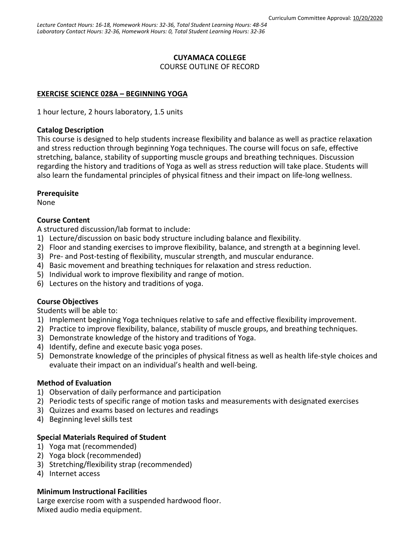# **CUYAMACA COLLEGE**

COURSE OUTLINE OF RECORD

# **EXERCISE SCIENCE 028A – BEGINNING YOGA**

1 hour lecture, 2 hours laboratory, 1.5 units

### **Catalog Description**

This course is designed to help students increase flexibility and balance as well as practice relaxation and stress reduction through beginning Yoga techniques. The course will focus on safe, effective stretching, balance, stability of supporting muscle groups and breathing techniques. Discussion regarding the history and traditions of Yoga as well as stress reduction will take place. Students will also learn the fundamental principles of physical fitness and their impact on life-long wellness.

## **Prerequisite**

None

## **Course Content**

A structured discussion/lab format to include:

- 1) Lecture/discussion on basic body structure including balance and flexibility.
- 2) Floor and standing exercises to improve flexibility, balance, and strength at a beginning level.
- 3) Pre- and Post-testing of flexibility, muscular strength, and muscular endurance.
- 4) Basic movement and breathing techniques for relaxation and stress reduction.
- 5) Individual work to improve flexibility and range of motion.
- 6) Lectures on the history and traditions of yoga.

## **Course Objectives**

Students will be able to:

- 1) Implement beginning Yoga techniques relative to safe and effective flexibility improvement.
- 2) Practice to improve flexibility, balance, stability of muscle groups, and breathing techniques.
- 3) Demonstrate knowledge of the history and traditions of Yoga.
- 4) Identify, define and execute basic yoga poses.
- 5) Demonstrate knowledge of the principles of physical fitness as well as health life-style choices and evaluate their impact on an individual's health and well-being.

## **Method of Evaluation**

- 1) Observation of daily performance and participation
- 2) Periodic tests of specific range of motion tasks and measurements with designated exercises
- 3) Quizzes and exams based on lectures and readings
- 4) Beginning level skills test

# **Special Materials Required of Student**

- 1) Yoga mat (recommended)
- 2) Yoga block (recommended)
- 3) Stretching/flexibility strap (recommended)
- 4) Internet access

## **Minimum Instructional Facilities**

Large exercise room with a suspended hardwood floor. Mixed audio media equipment.